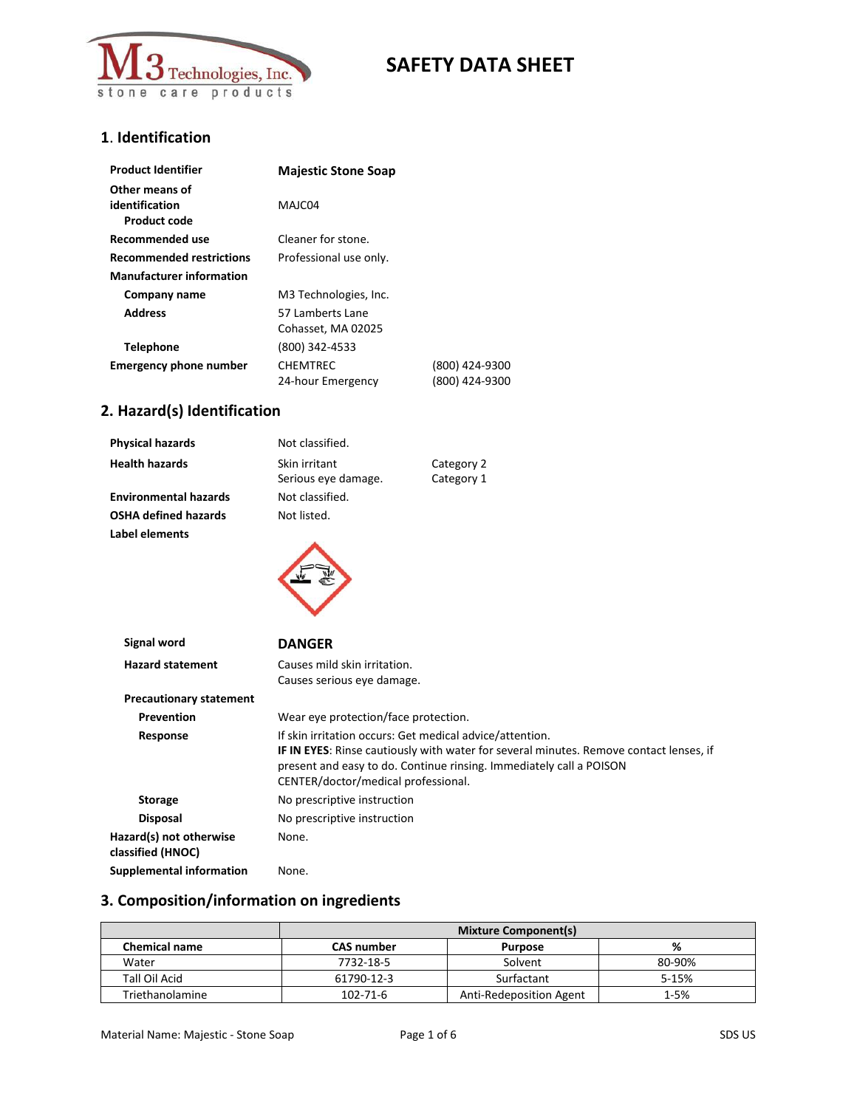

## **1**. **Identification**

| <b>Product Identifier</b>                               | <b>Majestic Stone Soap</b>             |                                  |
|---------------------------------------------------------|----------------------------------------|----------------------------------|
| Other means of<br>identification<br><b>Product code</b> | MAJC04                                 |                                  |
| Recommended use                                         | Cleaner for stone.                     |                                  |
| <b>Recommended restrictions</b>                         | Professional use only.                 |                                  |
| <b>Manufacturer information</b>                         |                                        |                                  |
| Company name                                            | M3 Technologies, Inc.                  |                                  |
| <b>Address</b>                                          | 57 Lamberts Lane<br>Cohasset, MA 02025 |                                  |
| <b>Telephone</b>                                        | (800) 342-4533                         |                                  |
| <b>Emergency phone number</b>                           | <b>CHEMTREC</b><br>24-hour Emergency   | (800) 424-9300<br>(800) 424-9300 |

# **2. Hazard(s) Identification**

| <b>Physical hazards</b>      | Not classified.                      |                          |
|------------------------------|--------------------------------------|--------------------------|
| <b>Health hazards</b>        | Skin irritant<br>Serious eye damage. | Category 2<br>Category 1 |
| <b>Environmental hazards</b> | Not classified.                      |                          |
| <b>OSHA defined hazards</b>  | Not listed.                          |                          |
| Label elements               |                                      |                          |

 $\checkmark$ 

| Signal word                                  | <b>DANGER</b>                                                                                                                                                                                                                                                           |
|----------------------------------------------|-------------------------------------------------------------------------------------------------------------------------------------------------------------------------------------------------------------------------------------------------------------------------|
| <b>Hazard statement</b>                      | Causes mild skin irritation.<br>Causes serious eye damage.                                                                                                                                                                                                              |
| <b>Precautionary statement</b>               |                                                                                                                                                                                                                                                                         |
| <b>Prevention</b>                            | Wear eye protection/face protection.                                                                                                                                                                                                                                    |
| Response                                     | If skin irritation occurs: Get medical advice/attention.<br><b>IF IN EYES:</b> Rinse cautiously with water for several minutes. Remove contact lenses, if<br>present and easy to do. Continue rinsing. Immediately call a POISON<br>CENTER/doctor/medical professional. |
| <b>Storage</b>                               | No prescriptive instruction                                                                                                                                                                                                                                             |
| <b>Disposal</b>                              | No prescriptive instruction                                                                                                                                                                                                                                             |
| Hazard(s) not otherwise<br>classified (HNOC) | None.                                                                                                                                                                                                                                                                   |
| Supplemental information                     | None.                                                                                                                                                                                                                                                                   |

## **3. Composition/information on ingredients**

|                      | <b>Mixture Component(s)</b> |                         |          |
|----------------------|-----------------------------|-------------------------|----------|
| <b>Chemical name</b> | <b>CAS number</b>           | <b>Purpose</b>          | %        |
| Water                | 7732-18-5                   | Solvent                 | 80-90%   |
| Tall Oil Acid        | 61790-12-3                  | Surfactant              | 5-15%    |
| Triethanolamine      | $102 - 71 - 6$              | Anti-Redeposition Agent | $1 - 5%$ |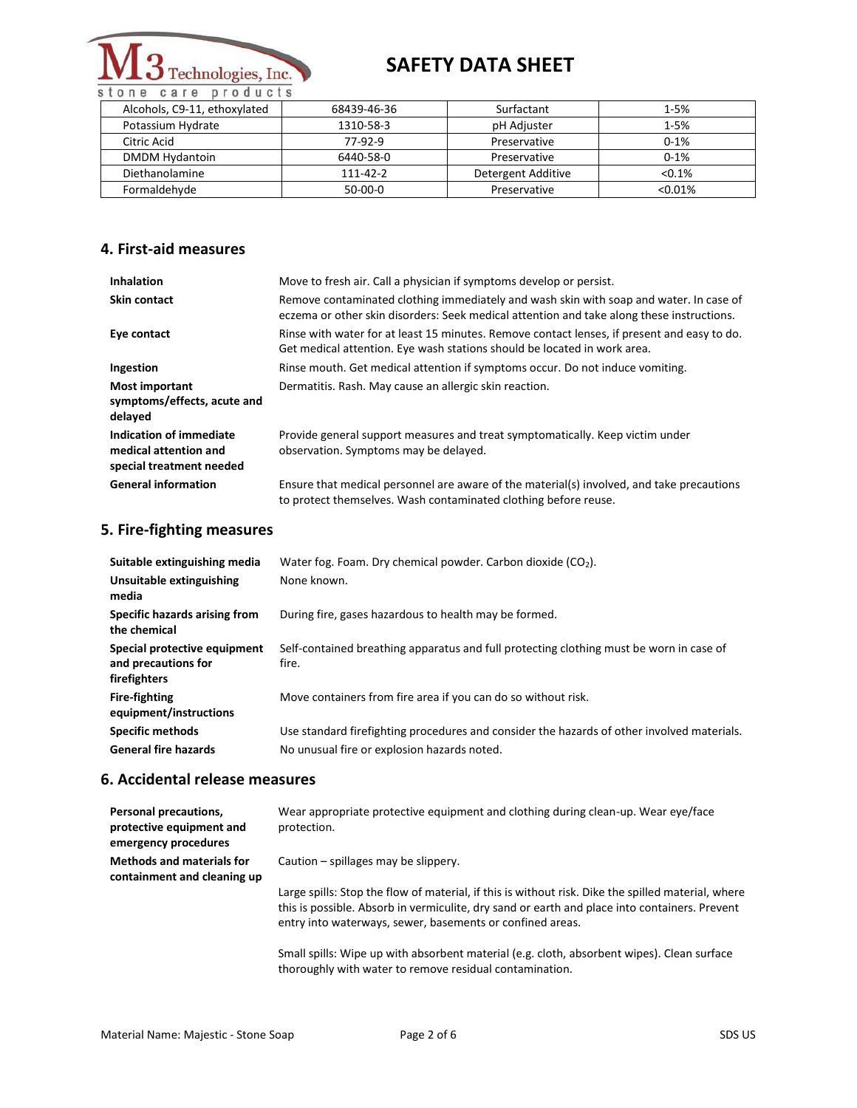

care products stone

| Alcohols, C9-11, ethoxylated | 68439-46-36 | Surfactant         | $1 - 5%$   |
|------------------------------|-------------|--------------------|------------|
| Potassium Hydrate            | 1310-58-3   | pH Adjuster        | $1 - 5%$   |
| Citric Acid                  | 77-92-9     | Preservative       | $0 - 1%$   |
| <b>DMDM Hydantoin</b>        | 6440-58-0   | Preservative       | $0 - 1%$   |
| Diethanolamine               | 111-42-2    | Detergent Additive | $< 0.1\%$  |
| Formaldehyde                 | $50-00-0$   | Preservative       | $< 0.01\%$ |

### **4. First-aid measures**

| <b>Inhalation</b>                                                            | Move to fresh air. Call a physician if symptoms develop or persist.                                                                                                                 |
|------------------------------------------------------------------------------|-------------------------------------------------------------------------------------------------------------------------------------------------------------------------------------|
| Skin contact                                                                 | Remove contaminated clothing immediately and wash skin with soap and water. In case of<br>eczema or other skin disorders: Seek medical attention and take along these instructions. |
| Eye contact                                                                  | Rinse with water for at least 15 minutes. Remove contact lenses, if present and easy to do.<br>Get medical attention. Eye wash stations should be located in work area.             |
| Ingestion                                                                    | Rinse mouth. Get medical attention if symptoms occur. Do not induce vomiting.                                                                                                       |
| <b>Most important</b><br>symptoms/effects, acute and<br>delayed              | Dermatitis. Rash. May cause an allergic skin reaction.                                                                                                                              |
| Indication of immediate<br>medical attention and<br>special treatment needed | Provide general support measures and treat symptomatically. Keep victim under<br>observation. Symptoms may be delayed.                                                              |
| <b>General information</b>                                                   | Ensure that medical personnel are aware of the material(s) involved, and take precautions<br>to protect themselves. Wash contaminated clothing before reuse.                        |

## **5. Fire-fighting measures**

| Suitable extinguishing media<br>Unsuitable extinguishing<br>media   | Water fog. Foam. Dry chemical powder. Carbon dioxide $(CO2)$ .<br>None known.                                                             |
|---------------------------------------------------------------------|-------------------------------------------------------------------------------------------------------------------------------------------|
| Specific hazards arising from<br>the chemical                       | During fire, gases hazardous to health may be formed.                                                                                     |
| Special protective equipment<br>and precautions for<br>firefighters | Self-contained breathing apparatus and full protecting clothing must be worn in case of<br>fire.                                          |
| <b>Fire-fighting</b><br>equipment/instructions                      | Move containers from fire area if you can do so without risk.                                                                             |
| <b>Specific methods</b><br><b>General fire hazards</b>              | Use standard firefighting procedures and consider the hazards of other involved materials.<br>No unusual fire or explosion hazards noted. |

### **6. Accidental release measures**

| Personal precautions,<br>protective equipment and<br>emergency procedures | Wear appropriate protective equipment and clothing during clean-up. Wear eye/face<br>protection.                                                                                                                                                                 |
|---------------------------------------------------------------------------|------------------------------------------------------------------------------------------------------------------------------------------------------------------------------------------------------------------------------------------------------------------|
| <b>Methods and materials for</b><br>containment and cleaning up           | Caution – spillages may be slippery.                                                                                                                                                                                                                             |
|                                                                           | Large spills: Stop the flow of material, if this is without risk. Dike the spilled material, where<br>this is possible. Absorb in vermiculite, dry sand or earth and place into containers. Prevent<br>entry into waterways, sewer, basements or confined areas. |
|                                                                           | Small spills: Wipe up with absorbent material (e.g. cloth, absorbent wipes). Clean surface<br>thoroughly with water to remove residual contamination.                                                                                                            |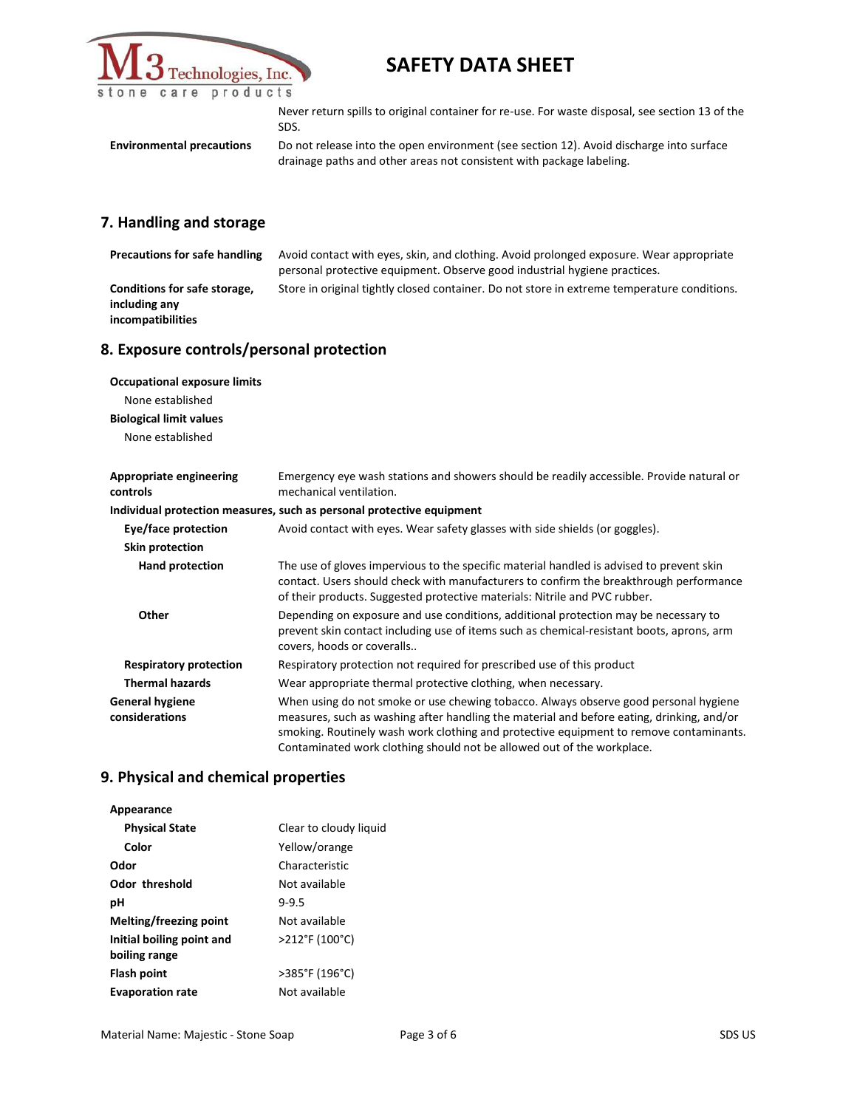

|                                  | Never return spills to original container for re-use. For waste disposal, see section 13 of the<br>SDS.                                                         |
|----------------------------------|-----------------------------------------------------------------------------------------------------------------------------------------------------------------|
| <b>Environmental precautions</b> | Do not release into the open environment (see section 12). Avoid discharge into surface<br>drainage paths and other areas not consistent with package labeling. |
|                                  |                                                                                                                                                                 |

# **7. Handling and storage**

| <b>Precautions for safe handling</b>                                                                          | Avoid contact with eyes, skin, and clothing. Avoid prolonged exposure. Wear appropriate<br>personal protective equipment. Observe good industrial hygiene practices.                                                                                                                                                                                  |  |  |
|---------------------------------------------------------------------------------------------------------------|-------------------------------------------------------------------------------------------------------------------------------------------------------------------------------------------------------------------------------------------------------------------------------------------------------------------------------------------------------|--|--|
| Conditions for safe storage,<br>including any<br>incompatibilities                                            | Store in original tightly closed container. Do not store in extreme temperature conditions.                                                                                                                                                                                                                                                           |  |  |
| 8. Exposure controls/personal protection                                                                      |                                                                                                                                                                                                                                                                                                                                                       |  |  |
| <b>Occupational exposure limits</b><br>None established<br><b>Biological limit values</b><br>None established |                                                                                                                                                                                                                                                                                                                                                       |  |  |
| <b>Appropriate engineering</b><br>controls                                                                    | Emergency eye wash stations and showers should be readily accessible. Provide natural or<br>mechanical ventilation.                                                                                                                                                                                                                                   |  |  |
|                                                                                                               | Individual protection measures, such as personal protective equipment                                                                                                                                                                                                                                                                                 |  |  |
| Eye/face protection                                                                                           | Avoid contact with eyes. Wear safety glasses with side shields (or goggles).                                                                                                                                                                                                                                                                          |  |  |
| <b>Skin protection</b>                                                                                        |                                                                                                                                                                                                                                                                                                                                                       |  |  |
| <b>Hand protection</b>                                                                                        | The use of gloves impervious to the specific material handled is advised to prevent skin<br>contact. Users should check with manufacturers to confirm the breakthrough performance<br>of their products. Suggested protective materials: Nitrile and PVC rubber.                                                                                      |  |  |
| Other                                                                                                         | Depending on exposure and use conditions, additional protection may be necessary to<br>prevent skin contact including use of items such as chemical-resistant boots, aprons, arm<br>covers, hoods or coveralls                                                                                                                                        |  |  |
| <b>Respiratory protection</b>                                                                                 | Respiratory protection not required for prescribed use of this product                                                                                                                                                                                                                                                                                |  |  |
| <b>Thermal hazards</b>                                                                                        | Wear appropriate thermal protective clothing, when necessary.                                                                                                                                                                                                                                                                                         |  |  |
| <b>General hygiene</b><br>considerations                                                                      | When using do not smoke or use chewing tobacco. Always observe good personal hygiene<br>measures, such as washing after handling the material and before eating, drinking, and/or<br>smoking. Routinely wash work clothing and protective equipment to remove contaminants.<br>Contaminated work clothing should not be allowed out of the workplace. |  |  |

## **9. Physical and chemical properties**

| Appearance                                 |                        |
|--------------------------------------------|------------------------|
| <b>Physical State</b>                      | Clear to cloudy liquid |
| Color                                      | Yellow/orange          |
| Odor                                       | Characteristic         |
| <b>Odor threshold</b>                      | Not available          |
| рH                                         | $9 - 9.5$              |
| Melting/freezing point                     | Not available          |
| Initial boiling point and<br>boiling range | >212°F (100°C)         |
| Flash point                                | >385°F (196°C)         |
| <b>Evaporation rate</b>                    | Not available          |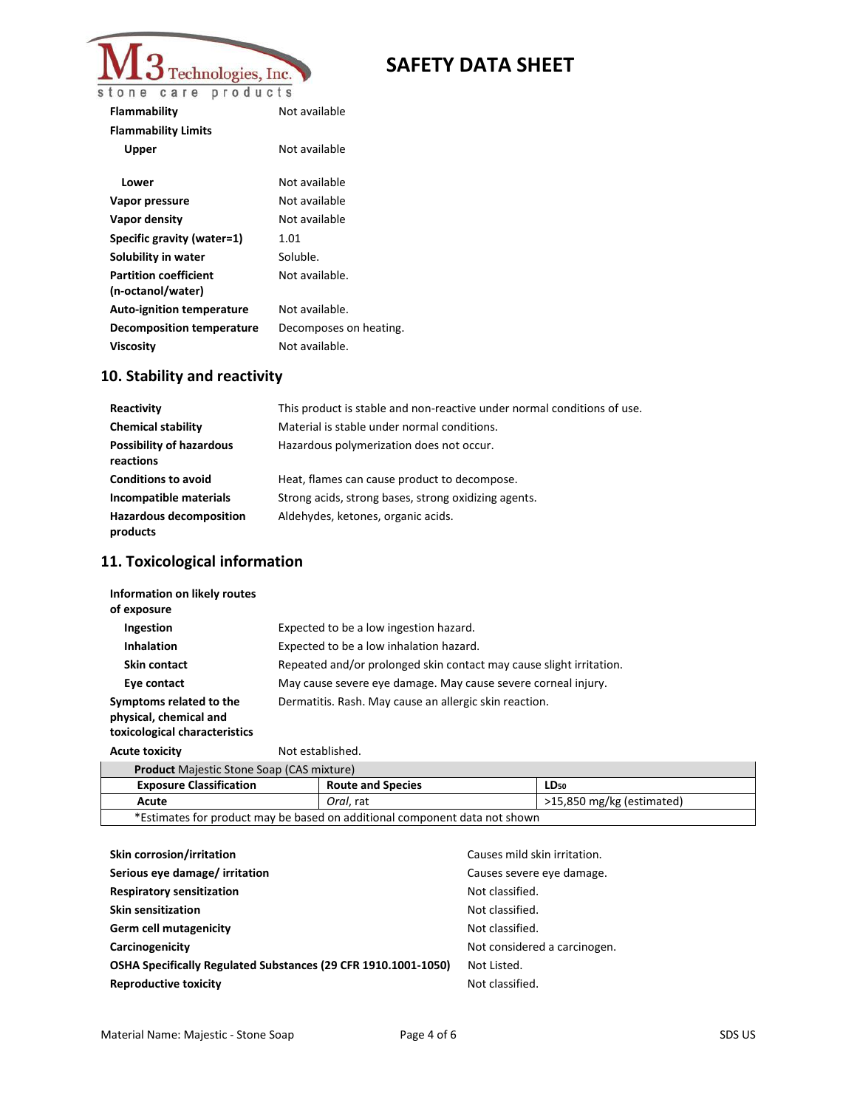

| Flammability                     | Not available          |
|----------------------------------|------------------------|
| <b>Flammability Limits</b>       |                        |
| Upper                            | Not available          |
| Lower                            | Not available          |
|                                  |                        |
| Vapor pressure                   | Not available          |
| Vapor density                    | Not available          |
| Specific gravity (water=1)       | 1.01                   |
| Solubility in water              | Soluble.               |
| <b>Partition coefficient</b>     | Not available.         |
| (n-octanol/water)                |                        |
| <b>Auto-ignition temperature</b> | Not available.         |
| <b>Decomposition temperature</b> | Decomposes on heating. |
| Viscosity                        | Not available.         |
|                                  |                        |

# **10. Stability and reactivity**

| Reactivity                                   | This product is stable and non-reactive under normal conditions of use. |
|----------------------------------------------|-------------------------------------------------------------------------|
| <b>Chemical stability</b>                    | Material is stable under normal conditions.                             |
| <b>Possibility of hazardous</b><br>reactions | Hazardous polymerization does not occur.                                |
| <b>Conditions to avoid</b>                   | Heat, flames can cause product to decompose.                            |
| Incompatible materials                       | Strong acids, strong bases, strong oxidizing agents.                    |
| <b>Hazardous decomposition</b><br>products   | Aldehydes, ketones, organic acids.                                      |

## **11. Toxicological information**

| Information on likely routes<br>of exposure                                        |                                                                     |
|------------------------------------------------------------------------------------|---------------------------------------------------------------------|
| Ingestion                                                                          | Expected to be a low ingestion hazard.                              |
| <b>Inhalation</b>                                                                  | Expected to be a low inhalation hazard.                             |
| <b>Skin contact</b>                                                                | Repeated and/or prolonged skin contact may cause slight irritation. |
| Eye contact                                                                        | May cause severe eye damage. May cause severe corneal injury.       |
| Symptoms related to the<br>physical, chemical and<br>toxicological characteristics | Dermatitis. Rash. May cause an allergic skin reaction.              |

Acute toxicity **Not established.** 

| <b>Product</b> Majestic Stone Soap (CAS mixture)                           |                          |                             |
|----------------------------------------------------------------------------|--------------------------|-----------------------------|
| <b>Exposure Classification</b>                                             | <b>Route and Species</b> | LD <sub>50</sub>            |
| Acute                                                                      | Oral. rat                | $>15,850$ mg/kg (estimated) |
| *Estimates for product may be based on additional component data not shown |                          |                             |

| Skin corrosion/irritation                                      | Causes mild skin irritation. |
|----------------------------------------------------------------|------------------------------|
| Serious eye damage/irritation                                  | Causes severe eye damage.    |
| <b>Respiratory sensitization</b>                               | Not classified.              |
| <b>Skin sensitization</b>                                      | Not classified.              |
| Germ cell mutagenicity                                         | Not classified.              |
| Carcinogenicity                                                | Not considered a carcinogen. |
| OSHA Specifically Regulated Substances (29 CFR 1910.1001-1050) | Not Listed.                  |
| <b>Reproductive toxicity</b>                                   | Not classified.              |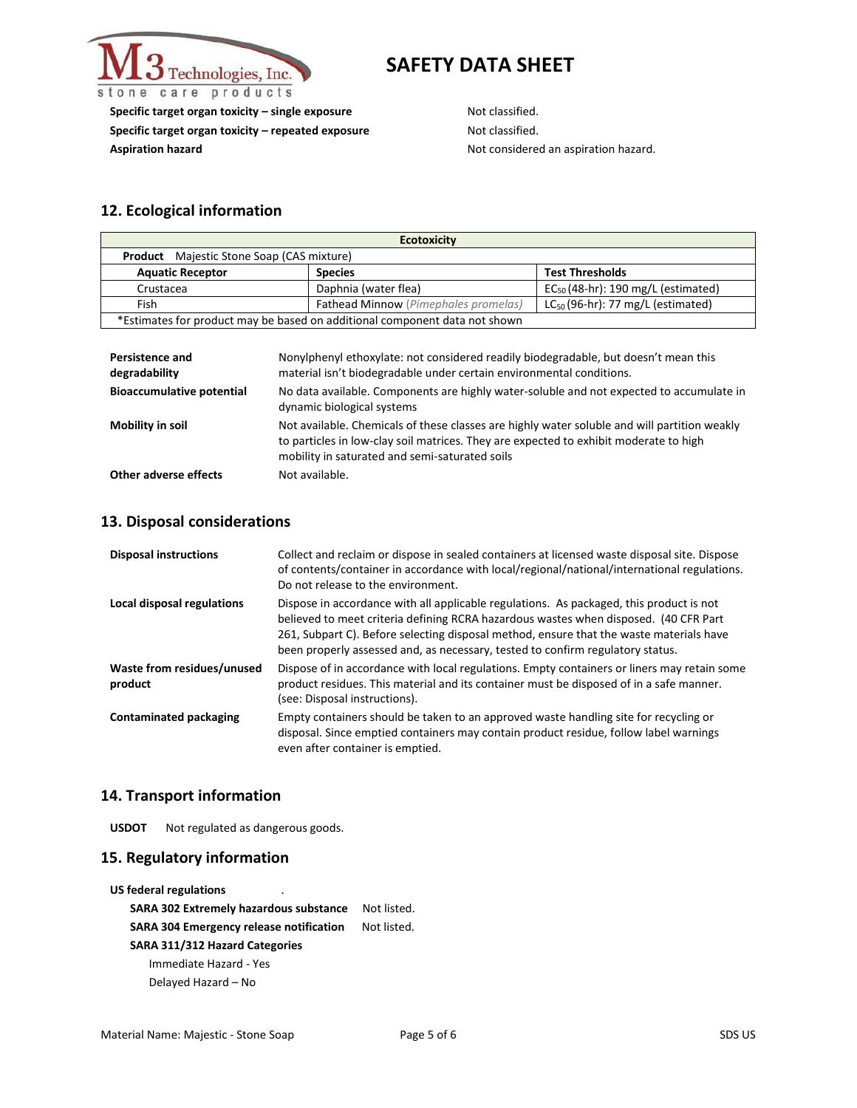

**Specific target organ toxicity – single exposure** Not classified. **Specific target organ toxicity – repeated exposure Not classified. Aspiration hazard Not considered an aspiration hazard.** Not considered an aspiration hazard.

### **12. Ecological information**

| <b>Ecotoxicity</b>                                                         |                                             |                                         |
|----------------------------------------------------------------------------|---------------------------------------------|-----------------------------------------|
| <b>Product</b> Majestic Stone Soap (CAS mixture)                           |                                             |                                         |
| <b>Aquatic Receptor</b>                                                    | <b>Species</b>                              | <b>Test Thresholds</b>                  |
| Crustacea                                                                  | Daphnia (water flea)                        | $EC_{50}$ (48-hr): 190 mg/L (estimated) |
| Fish                                                                       | <b>Fathead Minnow</b> (Pimephales promelas) | $LC_{50}$ (96-hr): 77 mg/L (estimated)  |
| *Estimates for product may be based on additional component data not shown |                                             |                                         |

| <b>Persistence and</b><br>degradability | Nonylphenyl ethoxylate: not considered readily biodegradable, but doesn't mean this<br>material isn't biodegradable under certain environmental conditions.                                                                             |
|-----------------------------------------|-----------------------------------------------------------------------------------------------------------------------------------------------------------------------------------------------------------------------------------------|
| <b>Bioaccumulative potential</b>        | No data available. Components are highly water-soluble and not expected to accumulate in<br>dynamic biological systems                                                                                                                  |
| Mobility in soil                        | Not available. Chemicals of these classes are highly water soluble and will partition weakly<br>to particles in low-clay soil matrices. They are expected to exhibit moderate to high<br>mobility in saturated and semi-saturated soils |
| Other adverse effects                   | Not available.                                                                                                                                                                                                                          |

#### **13. Disposal considerations**

| <b>Disposal instructions</b>          | Collect and reclaim or dispose in sealed containers at licensed waste disposal site. Dispose<br>of contents/container in accordance with local/regional/national/international regulations.<br>Do not release to the environment.                                                                                                                            |
|---------------------------------------|--------------------------------------------------------------------------------------------------------------------------------------------------------------------------------------------------------------------------------------------------------------------------------------------------------------------------------------------------------------|
| Local disposal regulations            | Dispose in accordance with all applicable regulations. As packaged, this product is not<br>believed to meet criteria defining RCRA hazardous wastes when disposed. (40 CFR Part<br>261, Subpart C). Before selecting disposal method, ensure that the waste materials have<br>been properly assessed and, as necessary, tested to confirm regulatory status. |
| Waste from residues/unused<br>product | Dispose of in accordance with local regulations. Empty containers or liners may retain some<br>product residues. This material and its container must be disposed of in a safe manner.<br>(see: Disposal instructions).                                                                                                                                      |
| <b>Contaminated packaging</b>         | Empty containers should be taken to an approved waste handling site for recycling or<br>disposal. Since emptied containers may contain product residue, follow label warnings<br>even after container is emptied.                                                                                                                                            |

#### **14. Transport information**

**USDOT** Not regulated as dangerous goods.

#### **15. Regulatory information**

**US federal regulations** 

**SARA 302 Extremely hazardous substance** Not listed. **SARA 304 Emergency release notification** Not listed. **SARA 311/312 Hazard Categories** Immediate Hazard - Yes Delayed Hazard – No